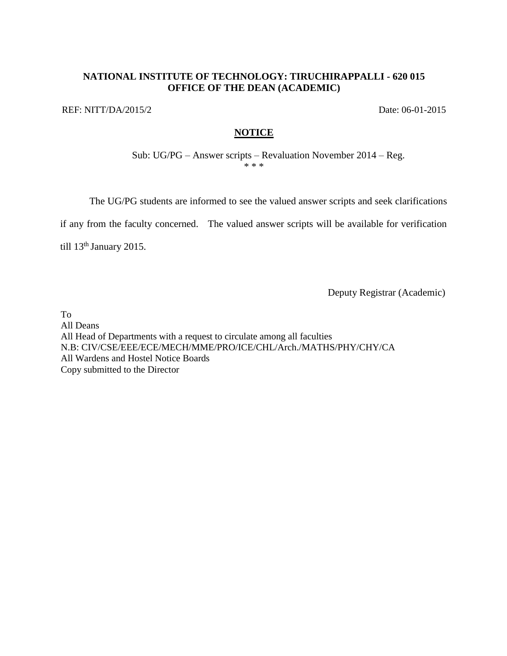## **NATIONAL INSTITUTE OF TECHNOLOGY: TIRUCHIRAPPALLI - 620 015 OFFICE OF THE DEAN (ACADEMIC)**

REF: NITT/DA/2015/2 Date: 06-01-2015

## **NOTICE**

Sub: UG/PG – Answer scripts – Revaluation November 2014 – Reg. \* \* \*

The UG/PG students are informed to see the valued answer scripts and seek clarifications

if any from the faculty concerned. The valued answer scripts will be available for verification

till 13<sup>th</sup> January 2015.

Deputy Registrar (Academic)

To All Deans All Head of Departments with a request to circulate among all faculties N.B: CIV/CSE/EEE/ECE/MECH/MME/PRO/ICE/CHL/Arch./MATHS/PHY/CHY/CA All Wardens and Hostel Notice Boards Copy submitted to the Director